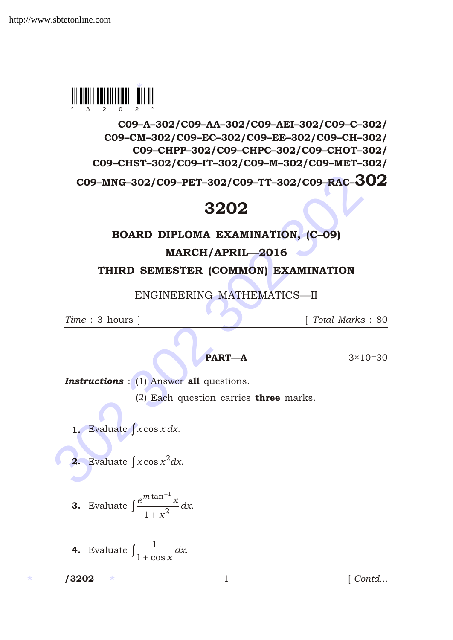

C09–A–302/C09–AA–302/C09–AEI–302/C09–C–302/ C09–CM–302/C09–EC–302/C09–EE–302/C09–CH–302/ C09–CHPP–302/C09–CHPC–302/C09–CHOT–302/ C09–CHST–302/C09–IT–302/C09–M–302/C09–MET–302/

CO9-MNG-302/CO9-PET-302/CO9-TT-302/CO9-RAC-30<br>3202<br>BOARD DIPLOMA EXAMINATION, (C-09)<br>MARCH/APRIL-2016<br>THIRD SEMESTER (COMMON) EXAMINATION<br>ENGINEERING MATHEMATICS—II<br>Time : 3 hours ] [Total Marks :<br>PART-A 3×10=<br>Instruction C09–MNG–302/C09–PET–302/C09–TT–302/C09–RAC–302

## 3202

## BOARD DIPLOMA EXAMINATION, (C–09)

MARCH/APRIL—2016

THIRD SEMESTER (COMMON) EXAMINATION

ENGINEERING MATHEMATICS—II

*Time* : 3 hours ] [ *Total Marks* : 80

**PART—A**  $3 \times 10 = 30$ 

**Instructions** : (1) Answer all questions.

(2) Each question carries **three** marks.

1. Evaluate *x* cos *x dx*.

**2.** Evaluate  $x \cos x^2 dx$ .

**3.** Evaluate 
$$
\frac{e^{m \tan^{-1} x}}{1 - x^2} dx.
$$

**4.** Evaluate  $\frac{1}{1}$ 1 cos *x dx*.

 $13202$  \*

1 *Contd...*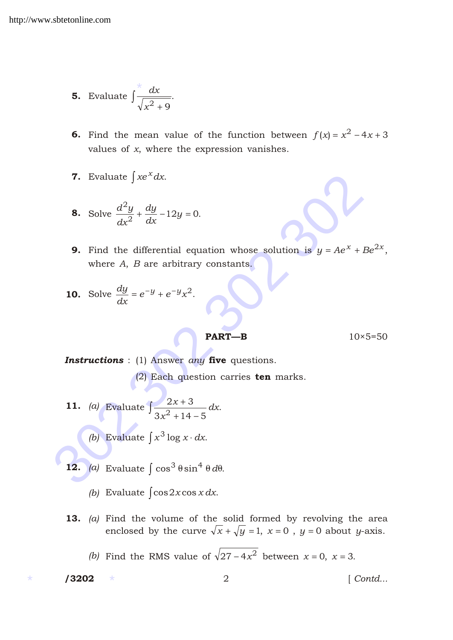**5.** Evaluate 
$$
\frac{x}{\sqrt{x^2} - 9}
$$
.

- **6.** Find the mean value of the function between  $f(x) = x^2 4x 3$ values of *x*, where the expression vanishes.
- 7. Evaluate  $xe^x dx$ .

8. Solve 
$$
\frac{d^2y}{dx^2}
$$
  $\frac{dy}{dx}$  12y 0.

7. Evaluate  $xe^x dx$ .<br>
8. Solve  $\frac{d^2y}{dx^2} = \frac{dy}{dx} = 12y = 0$ .<br>
9. Find the differential equation whose solution is  $y = Ae^x$ . Be where A, B are arbitrary constants.<br>
10. Solve  $\frac{dy}{dx} = e^y = e^y x^2$ .<br>
PART-B 10×5=<br>
Instructio **9.** Find the differential equation whose solution is  $y$   $Ae^{x}$   $Be^{2x}$ , where *A*, *B* are arbitrary constants.

**10.** Solve 
$$
\frac{dy}{dx}
$$
 e  $y$  e  $y_x^2$ .

**PART—B**  $10 \times 5=50$ 

*Instructions* : (1) Answer *any* five questions. (2) Each question carries ten marks.

- 11. *(a)* Evaluate  $\frac{2x}{2}$  $3x^2$  14 5 *x x dx*.
	- *(b)* Evaluate  $x^3 \log x dx$ .
- 12. (a) Evaluate  $\cos^3 \sin^4 d$ .
	- *(b)* Evaluate cos2*x* cos *x dx*.
- 13. *(a)* Find the volume of the solid formed by revolving the area enclosed by the curve  $\sqrt{x}$   $\sqrt{y}$  1, *x* 0, *y* 0 about *y*-axis.
	- (b) Find the RMS value of  $\sqrt{27}$  4 $x^2$  between *x* 0, *x* 3.

/3202

/3202 2 [ *Contd...*